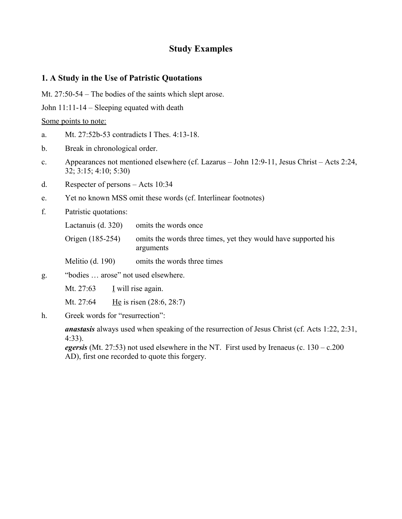# **Study Examples**

### **1. A Study in the Use of Patristic Quotations**

Mt. 27:50-54 – The bodies of the saints which slept arose.

John 11:11-14 – Sleeping equated with death

Some points to note:

- a. Mt. 27:52b-53 contradicts I Thes. 4:13-18.
- b. Break in chronological order.
- c. Appearances not mentioned elsewhere (cf. Lazarus John 12:9-11, Jesus Christ Acts 2:24, 32; 3:15; 4:10; 5:30)
- d. Respecter of persons Acts 10:34
- e. Yet no known MSS omit these words (cf. Interlinear footnotes)
- f. Patristic quotations:

|  | Lactanuis (d. 320) | omits the words once |  |
|--|--------------------|----------------------|--|
|--|--------------------|----------------------|--|

Origen (185-254) omits the words three times, yet they would have supported his arguments

Melitio (d. 190) omits the words three times

g. "bodies … arose" not used elsewhere.

Mt. 27:63 I will rise again.

Mt. 27:64 He is risen (28:6, 28:7)

h. Greek words for "resurrection":

*anastasis* always used when speaking of the resurrection of Jesus Christ (cf. Acts 1:22, 2:31, 4:33).

*egersis* (Mt. 27:53) not used elsewhere in the NT. First used by Irenaeus (c.  $130 - c.200$ AD), first one recorded to quote this forgery.